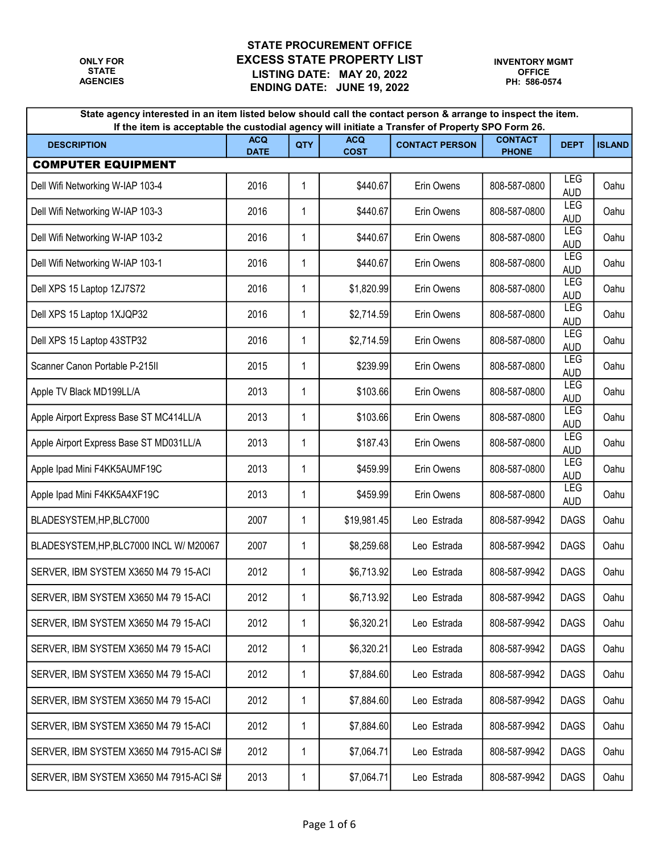| State agency interested in an item listed below should call the contact person & arrange to inspect the item.<br>If the item is acceptable the custodial agency will initiate a Transfer of Property SPO Form 26. |                           |              |                           |                       |                                |                   |               |  |  |  |
|-------------------------------------------------------------------------------------------------------------------------------------------------------------------------------------------------------------------|---------------------------|--------------|---------------------------|-----------------------|--------------------------------|-------------------|---------------|--|--|--|
| <b>DESCRIPTION</b>                                                                                                                                                                                                | <b>ACQ</b><br><b>DATE</b> | QTY          | <b>ACQ</b><br><b>COST</b> | <b>CONTACT PERSON</b> | <b>CONTACT</b><br><b>PHONE</b> | <b>DEPT</b>       | <b>ISLAND</b> |  |  |  |
| <b>COMPUTER EQUIPMENT</b>                                                                                                                                                                                         |                           |              |                           |                       |                                |                   |               |  |  |  |
| Dell Wifi Networking W-IAP 103-4                                                                                                                                                                                  | 2016                      | $\mathbf 1$  | \$440.67                  | Erin Owens            | 808-587-0800                   | LEG<br><b>AUD</b> | Oahu          |  |  |  |
| Dell Wifi Networking W-IAP 103-3                                                                                                                                                                                  | 2016                      | 1            | \$440.67                  | Erin Owens            | 808-587-0800                   | LEG<br><b>AUD</b> | Oahu          |  |  |  |
| Dell Wifi Networking W-IAP 103-2                                                                                                                                                                                  | 2016                      | 1            | \$440.67                  | Erin Owens            | 808-587-0800                   | LEG<br><b>AUD</b> | Oahu          |  |  |  |
| Dell Wifi Networking W-IAP 103-1                                                                                                                                                                                  | 2016                      | $\mathbf 1$  | \$440.67                  | Erin Owens            | 808-587-0800                   | LEG<br><b>AUD</b> | Oahu          |  |  |  |
| Dell XPS 15 Laptop 1ZJ7S72                                                                                                                                                                                        | 2016                      | 1            | \$1,820.99                | Erin Owens            | 808-587-0800                   | LEG<br><b>AUD</b> | Oahu          |  |  |  |
| Dell XPS 15 Laptop 1XJQP32                                                                                                                                                                                        | 2016                      | 1            | \$2,714.59                | Erin Owens            | 808-587-0800                   | LEG<br><b>AUD</b> | Oahu          |  |  |  |
| Dell XPS 15 Laptop 43STP32                                                                                                                                                                                        | 2016                      | 1            | \$2,714.59                | Erin Owens            | 808-587-0800                   | LEG<br><b>AUD</b> | Oahu          |  |  |  |
| Scanner Canon Portable P-215II                                                                                                                                                                                    | 2015                      | 1            | \$239.99                  | Erin Owens            | 808-587-0800                   | LEG<br><b>AUD</b> | Oahu          |  |  |  |
| Apple TV Black MD199LL/A                                                                                                                                                                                          | 2013                      | 1            | \$103.66                  | Erin Owens            | 808-587-0800                   | LEG<br><b>AUD</b> | Oahu          |  |  |  |
| Apple Airport Express Base ST MC414LL/A                                                                                                                                                                           | 2013                      | $\mathbf{1}$ | \$103.66                  | Erin Owens            | 808-587-0800                   | LEG<br><b>AUD</b> | Oahu          |  |  |  |
| Apple Airport Express Base ST MD031LL/A                                                                                                                                                                           | 2013                      | 1            | \$187.43                  | Erin Owens            | 808-587-0800                   | LEG<br><b>AUD</b> | Oahu          |  |  |  |
| Apple Ipad Mini F4KK5AUMF19C                                                                                                                                                                                      | 2013                      | $\mathbf 1$  | \$459.99                  | Erin Owens            | 808-587-0800                   | LEG<br><b>AUD</b> | Oahu          |  |  |  |
| Apple Ipad Mini F4KK5A4XF19C                                                                                                                                                                                      | 2013                      | $\mathbf 1$  | \$459.99                  | Erin Owens            | 808-587-0800                   | LEG<br><b>AUD</b> | Oahu          |  |  |  |
| BLADESYSTEM, HP, BLC7000                                                                                                                                                                                          | 2007                      | $\mathbf 1$  | \$19,981.45               | Leo Estrada           | 808-587-9942                   | <b>DAGS</b>       | Oahu          |  |  |  |
| BLADESYSTEM, HP, BLC7000 INCL W/ M20067                                                                                                                                                                           | 2007                      | 1            | \$8,259.68                | Leo Estrada           | 808-587-9942                   | <b>DAGS</b>       | Oahu          |  |  |  |
| SERVER, IBM SYSTEM X3650 M4 79 15-ACI                                                                                                                                                                             | 2012                      | 1            | \$6,713.92                | Leo Estrada           | 808-587-9942                   | <b>DAGS</b>       | Oahu          |  |  |  |
| SERVER, IBM SYSTEM X3650 M4 79 15-ACI                                                                                                                                                                             | 2012                      | 1            | \$6,713.92                | Leo Estrada           | 808-587-9942                   | <b>DAGS</b>       | Oahu          |  |  |  |
| SERVER, IBM SYSTEM X3650 M4 79 15-ACI                                                                                                                                                                             | 2012                      | 1            | \$6,320.21                | Leo Estrada           | 808-587-9942                   | <b>DAGS</b>       | Oahu          |  |  |  |
| SERVER, IBM SYSTEM X3650 M4 79 15-ACI                                                                                                                                                                             | 2012                      | 1            | \$6,320.21                | Leo Estrada           | 808-587-9942                   | <b>DAGS</b>       | Oahu          |  |  |  |
| SERVER, IBM SYSTEM X3650 M4 79 15-ACI                                                                                                                                                                             | 2012                      | 1            | \$7,884.60                | Leo Estrada           | 808-587-9942                   | <b>DAGS</b>       | Oahu          |  |  |  |
| SERVER, IBM SYSTEM X3650 M4 79 15-ACI                                                                                                                                                                             | 2012                      | 1            | \$7,884.60                | Leo Estrada           | 808-587-9942                   | <b>DAGS</b>       | Oahu          |  |  |  |
| SERVER, IBM SYSTEM X3650 M4 79 15-ACI                                                                                                                                                                             | 2012                      | 1            | \$7,884.60                | Leo Estrada           | 808-587-9942                   | <b>DAGS</b>       | Oahu          |  |  |  |
| SERVER, IBM SYSTEM X3650 M4 7915-ACI S#                                                                                                                                                                           | 2012                      | 1            | \$7,064.71                | Leo Estrada           | 808-587-9942                   | <b>DAGS</b>       | Oahu          |  |  |  |
| SERVER, IBM SYSTEM X3650 M4 7915-ACI S#                                                                                                                                                                           | 2013                      | 1            | \$7,064.71                | Leo Estrada           | 808-587-9942                   | <b>DAGS</b>       | Oahu          |  |  |  |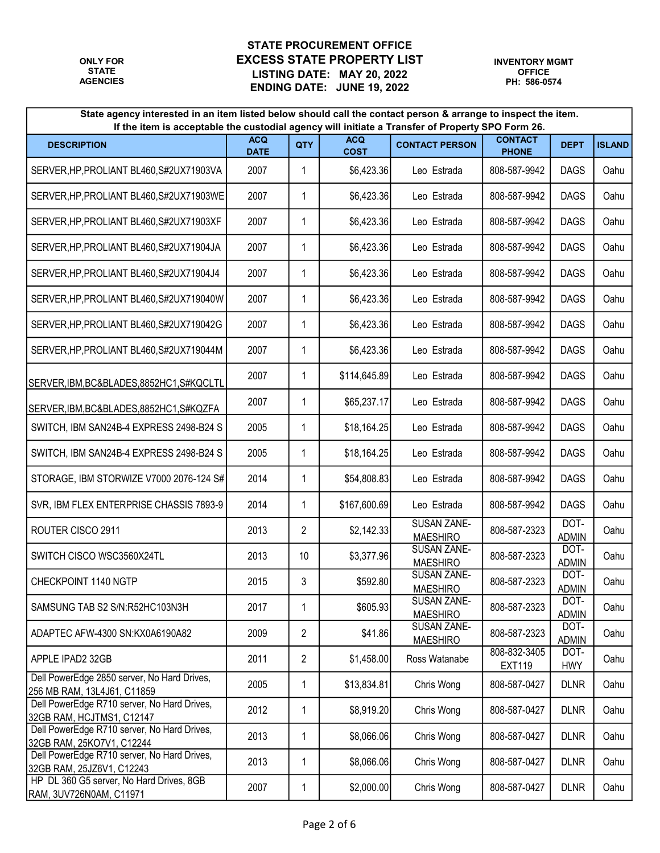| State agency interested in an item listed below should call the contact person & arrange to inspect the item.<br>If the item is acceptable the custodial agency will initiate a Transfer of Property SPO Form 26. |                           |     |                           |                                       |                                |                      |               |  |  |  |
|-------------------------------------------------------------------------------------------------------------------------------------------------------------------------------------------------------------------|---------------------------|-----|---------------------------|---------------------------------------|--------------------------------|----------------------|---------------|--|--|--|
| <b>DESCRIPTION</b>                                                                                                                                                                                                | <b>ACQ</b><br><b>DATE</b> | QTY | <b>ACQ</b><br><b>COST</b> | <b>CONTACT PERSON</b>                 | <b>CONTACT</b><br><b>PHONE</b> | <b>DEPT</b>          | <b>ISLAND</b> |  |  |  |
| SERVER, HP, PROLIANT BL460, S#2UX71903VA                                                                                                                                                                          | 2007                      | 1   | \$6,423.36                | Leo Estrada                           | 808-587-9942                   | <b>DAGS</b>          | Oahu          |  |  |  |
| SERVER, HP, PROLIANT BL460, S#2UX71903WE                                                                                                                                                                          | 2007                      | 1   | \$6,423.36                | Leo Estrada                           | 808-587-9942                   | <b>DAGS</b>          | Oahu          |  |  |  |
| SERVER, HP, PROLIANT BL460, S#2UX71903XF                                                                                                                                                                          | 2007                      | 1   | \$6,423.36                | Leo Estrada                           | 808-587-9942                   | <b>DAGS</b>          | Oahu          |  |  |  |
| SERVER, HP, PROLIANT BL460, S#2UX71904JA                                                                                                                                                                          | 2007                      | 1   | \$6,423.36                | Leo Estrada                           | 808-587-9942                   | <b>DAGS</b>          | Oahu          |  |  |  |
| SERVER, HP, PROLIANT BL460, S#2UX71904J4                                                                                                                                                                          | 2007                      | 1   | \$6,423.36                | Leo Estrada                           | 808-587-9942                   | <b>DAGS</b>          | Oahu          |  |  |  |
| SERVER, HP, PROLIANT BL460, S#2UX719040W                                                                                                                                                                          | 2007                      | 1   | \$6,423.36                | Leo Estrada                           | 808-587-9942                   | <b>DAGS</b>          | Oahu          |  |  |  |
| SERVER, HP, PROLIANT BL460, S#2UX719042G                                                                                                                                                                          | 2007                      | 1   | \$6,423.36                | Leo Estrada                           | 808-587-9942                   | <b>DAGS</b>          | Oahu          |  |  |  |
| SERVER, HP, PROLIANT BL460, S#2UX719044M                                                                                                                                                                          | 2007                      | 1   | \$6,423.36                | Leo Estrada                           | 808-587-9942                   | <b>DAGS</b>          | Oahu          |  |  |  |
| SERVER, IBM, BC&BLADES, 8852HC1, S#KQCLTL                                                                                                                                                                         | 2007                      | 1   | \$114,645.89              | Leo Estrada                           | 808-587-9942                   | <b>DAGS</b>          | Oahu          |  |  |  |
| SERVER, IBM, BC&BLADES, 8852HC1, S#KQZFA                                                                                                                                                                          | 2007                      | 1   | \$65,237.17               | Leo Estrada                           | 808-587-9942                   | <b>DAGS</b>          | Oahu          |  |  |  |
| SWITCH, IBM SAN24B-4 EXPRESS 2498-B24 S                                                                                                                                                                           | 2005                      | 1   | \$18,164.25               | Leo Estrada                           | 808-587-9942                   | <b>DAGS</b>          | Oahu          |  |  |  |
| SWITCH, IBM SAN24B-4 EXPRESS 2498-B24 S                                                                                                                                                                           | 2005                      | 1   | \$18,164.25               | Leo Estrada                           | 808-587-9942                   | <b>DAGS</b>          | Oahu          |  |  |  |
| STORAGE, IBM STORWIZE V7000 2076-124 S#                                                                                                                                                                           | 2014                      | 1   | \$54,808.83               | Leo Estrada                           | 808-587-9942                   | <b>DAGS</b>          | Oahu          |  |  |  |
| SVR, IBM FLEX ENTERPRISE CHASSIS 7893-9                                                                                                                                                                           | 2014                      | 1   | \$167,600.69              | Leo Estrada                           | 808-587-9942                   | <b>DAGS</b>          | Oahu          |  |  |  |
| ROUTER CISCO 2911                                                                                                                                                                                                 | 2013                      | 2   | \$2,142.33                | <b>SUSAN ZANE-</b><br><b>MAESHIRO</b> | 808-587-2323                   | DOT-<br><b>ADMIN</b> | Oahu          |  |  |  |
| SWITCH CISCO WSC3560X24TL                                                                                                                                                                                         | 2013                      | 10  | \$3,377.96                | <b>SUSAN ZANE-</b><br><b>MAESHIRO</b> | 808-587-2323                   | DOT-<br><b>ADMIN</b> | Oahu          |  |  |  |
| CHECKPOINT 1140 NGTP                                                                                                                                                                                              | 2015                      | 3   | \$592.80                  | SUSAN ZANE-<br><b>MAESHIRO</b>        | 808-587-2323                   | DOT-<br><b>ADMIN</b> | Oahu          |  |  |  |
| SAMSUNG TAB S2 S/N:R52HC103N3H                                                                                                                                                                                    | 2017                      | 1   | \$605.93                  | SUSAN ZANE-<br><b>MAESHIRO</b>        | 808-587-2323                   | DOT-<br><b>ADMIN</b> | Oahu          |  |  |  |
| ADAPTEC AFW-4300 SN:KX0A6190A82                                                                                                                                                                                   | 2009                      | 2   | \$41.86                   | SUSAN ZANE-<br><b>MAESHIRO</b>        | 808-587-2323                   | DOT-<br><b>ADMIN</b> | Oahu          |  |  |  |
| APPLE IPAD2 32GB                                                                                                                                                                                                  | 2011                      | 2   | \$1,458.00                | Ross Watanabe                         | 808-832-3405<br>EXT119         | DOT-<br><b>HWY</b>   | Oahu          |  |  |  |
| Dell PowerEdge 2850 server, No Hard Drives,<br>256 MB RAM, 13L4J61, C11859                                                                                                                                        | 2005                      | 1   | \$13,834.81               | Chris Wong                            | 808-587-0427                   | <b>DLNR</b>          | Oahu          |  |  |  |
| Dell PowerEdge R710 server, No Hard Drives,<br>32GB RAM, HCJTMS1, C12147                                                                                                                                          | 2012                      | 1   | \$8,919.20                | Chris Wong                            | 808-587-0427                   | <b>DLNR</b>          | Oahu          |  |  |  |
| Dell PowerEdge R710 server, No Hard Drives,<br>32GB RAM, 25KO7V1, C12244                                                                                                                                          | 2013                      | 1   | \$8,066.06                | Chris Wong                            | 808-587-0427                   | <b>DLNR</b>          | Oahu          |  |  |  |
| Dell PowerEdge R710 server, No Hard Drives,<br>32GB RAM, 25JZ6V1, C12243                                                                                                                                          | 2013                      | 1   | \$8,066.06                | Chris Wong                            | 808-587-0427                   | <b>DLNR</b>          | Oahu          |  |  |  |
| HP DL 360 G5 server, No Hard Drives, 8GB<br>RAM, 3UV726N0AM, C11971                                                                                                                                               | 2007                      | 1   | \$2,000.00]               | Chris Wong                            | 808-587-0427                   | <b>DLNR</b>          | Oahu          |  |  |  |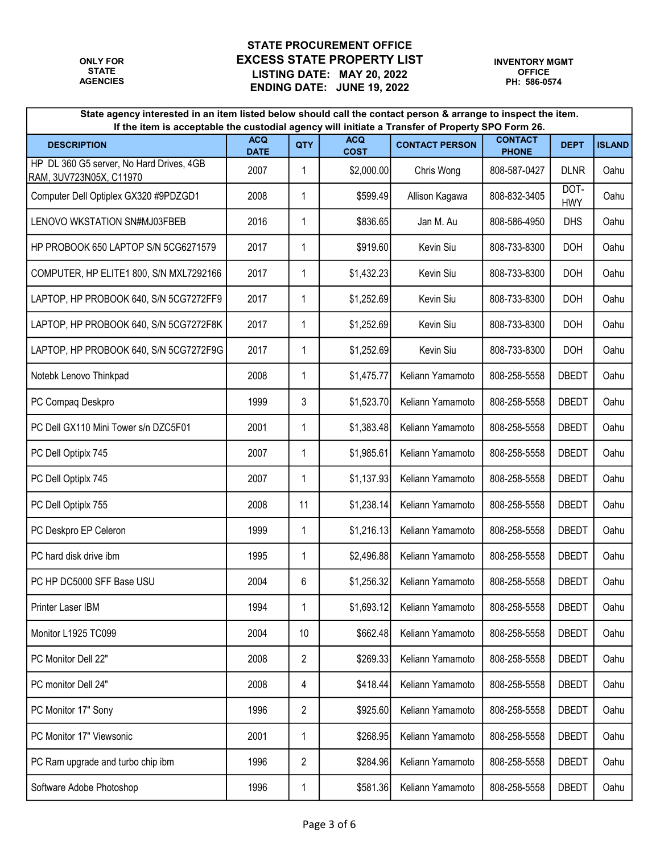| State agency interested in an item listed below should call the contact person & arrange to inspect the item.<br>If the item is acceptable the custodial agency will initiate a Transfer of Property SPO Form 26. |                           |                |                           |                       |                                |                    |               |  |  |  |
|-------------------------------------------------------------------------------------------------------------------------------------------------------------------------------------------------------------------|---------------------------|----------------|---------------------------|-----------------------|--------------------------------|--------------------|---------------|--|--|--|
| <b>DESCRIPTION</b>                                                                                                                                                                                                | <b>ACQ</b><br><b>DATE</b> | QTY            | <b>ACQ</b><br><b>COST</b> | <b>CONTACT PERSON</b> | <b>CONTACT</b><br><b>PHONE</b> | <b>DEPT</b>        | <b>ISLAND</b> |  |  |  |
| HP DL 360 G5 server, No Hard Drives, 4GB<br>RAM, 3UV723N05X, C11970                                                                                                                                               | 2007                      | 1              | \$2,000.00                | Chris Wong            | 808-587-0427                   | <b>DLNR</b>        | Oahu          |  |  |  |
| Computer Dell Optiplex GX320 #9PDZGD1                                                                                                                                                                             | 2008                      | 1              | \$599.49                  | Allison Kagawa        | 808-832-3405                   | DOT-<br><b>HWY</b> | Oahu          |  |  |  |
| LENOVO WKSTATION SN#MJ03FBEB                                                                                                                                                                                      | 2016                      | 1              | \$836.65                  | Jan M. Au             | 808-586-4950                   | <b>DHS</b>         | Oahu          |  |  |  |
| HP PROBOOK 650 LAPTOP S/N 5CG6271579                                                                                                                                                                              | 2017                      | 1              | \$919.60                  | Kevin Siu             | 808-733-8300                   | <b>DOH</b>         | Oahu          |  |  |  |
| COMPUTER, HP ELITE1 800, S/N MXL7292166                                                                                                                                                                           | 2017                      | 1              | \$1,432.23                | Kevin Siu             | 808-733-8300                   | <b>DOH</b>         | Oahu          |  |  |  |
| LAPTOP, HP PROBOOK 640, S/N 5CG7272FF9                                                                                                                                                                            | 2017                      | 1              | \$1,252.69                | Kevin Siu             | 808-733-8300                   | <b>DOH</b>         | Oahu          |  |  |  |
| LAPTOP, HP PROBOOK 640, S/N 5CG7272F8K                                                                                                                                                                            | 2017                      | 1              | \$1,252.69                | Kevin Siu             | 808-733-8300                   | <b>DOH</b>         | Oahu          |  |  |  |
| LAPTOP, HP PROBOOK 640, S/N 5CG7272F9G                                                                                                                                                                            | 2017                      | 1              | \$1,252.69                | Kevin Siu             | 808-733-8300                   | <b>DOH</b>         | Oahu          |  |  |  |
| Notebk Lenovo Thinkpad                                                                                                                                                                                            | 2008                      | 1              | \$1,475.77                | Keliann Yamamoto      | 808-258-5558                   | DBEDT              | Oahu          |  |  |  |
| PC Compaq Deskpro                                                                                                                                                                                                 | 1999                      | 3              | \$1,523.70                | Keliann Yamamoto      | 808-258-5558                   | <b>DBEDT</b>       | Oahu          |  |  |  |
| PC Dell GX110 Mini Tower s/n DZC5F01                                                                                                                                                                              | 2001                      | 1              | \$1,383.48                | Keliann Yamamoto      | 808-258-5558                   | DBEDT              | Oahu          |  |  |  |
| PC Dell Optiplx 745                                                                                                                                                                                               | 2007                      | 1              | \$1,985.61                | Keliann Yamamoto      | 808-258-5558                   | <b>DBEDT</b>       | Oahu          |  |  |  |
| PC Dell Optiplx 745                                                                                                                                                                                               | 2007                      | 1              | \$1,137.93                | Keliann Yamamoto      | 808-258-5558                   | DBEDT              | Oahu          |  |  |  |
| PC Dell Optiplx 755                                                                                                                                                                                               | 2008                      | 11             | \$1,238.14                | Keliann Yamamoto      | 808-258-5558                   | DBEDT              | Oahu          |  |  |  |
| PC Deskpro EP Celeron                                                                                                                                                                                             | 1999                      | 1              | \$1,216.13                | Keliann Yamamoto      | 808-258-5558                   | DBEDT              | Oahu          |  |  |  |
| PC hard disk drive ibm                                                                                                                                                                                            | 1995                      | 1              | \$2,496.88                | Keliann Yamamoto      | 808-258-5558                   | <b>DBEDT</b>       | Oahu          |  |  |  |
| PC HP DC5000 SFF Base USU                                                                                                                                                                                         | 2004                      | 6              | \$1,256.32                | Keliann Yamamoto      | 808-258-5558                   | DBEDT              | Oahu          |  |  |  |
| Printer Laser IBM                                                                                                                                                                                                 | 1994                      | 1              | \$1,693.12                | Keliann Yamamoto      | 808-258-5558                   | <b>DBEDT</b>       | Oahu          |  |  |  |
| Monitor L1925 TC099                                                                                                                                                                                               | 2004                      | 10             | \$662.48                  | Keliann Yamamoto      | 808-258-5558                   | <b>DBEDT</b>       | Oahu          |  |  |  |
| PC Monitor Dell 22"                                                                                                                                                                                               | 2008                      | $\overline{2}$ | \$269.33                  | Keliann Yamamoto      | 808-258-5558                   | DBEDT              | Oahu          |  |  |  |
| PC monitor Dell 24"                                                                                                                                                                                               | 2008                      | 4              | \$418.44                  | Keliann Yamamoto      | 808-258-5558                   | <b>DBEDT</b>       | Oahu          |  |  |  |
| PC Monitor 17" Sony                                                                                                                                                                                               | 1996                      | $\overline{2}$ | \$925.60                  | Keliann Yamamoto      | 808-258-5558                   | DBEDT              | Oahu          |  |  |  |
| PC Monitor 17" Viewsonic                                                                                                                                                                                          | 2001                      | 1              | \$268.95                  | Keliann Yamamoto      | 808-258-5558                   | <b>DBEDT</b>       | Oahu          |  |  |  |
| PC Ram upgrade and turbo chip ibm                                                                                                                                                                                 | 1996                      | $\overline{c}$ | \$284.96                  | Keliann Yamamoto      | 808-258-5558                   | <b>DBEDT</b>       | Oahu          |  |  |  |
| Software Adobe Photoshop                                                                                                                                                                                          | 1996                      | 1              | \$581.36                  | Keliann Yamamoto      | 808-258-5558                   | DBEDT              | Oahu          |  |  |  |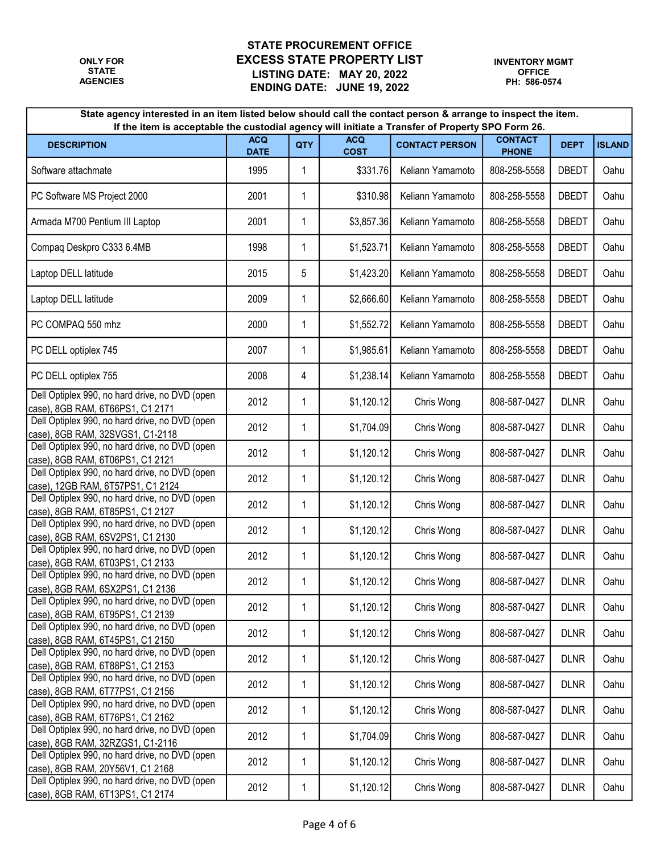| State agency interested in an item listed below should call the contact person & arrange to inspect the item.<br>If the item is acceptable the custodial agency will initiate a Transfer of Property SPO Form 26. |                           |     |                           |                       |                                |              |               |  |  |  |
|-------------------------------------------------------------------------------------------------------------------------------------------------------------------------------------------------------------------|---------------------------|-----|---------------------------|-----------------------|--------------------------------|--------------|---------------|--|--|--|
| <b>DESCRIPTION</b>                                                                                                                                                                                                | <b>ACQ</b><br><b>DATE</b> | QTY | <b>ACQ</b><br><b>COST</b> | <b>CONTACT PERSON</b> | <b>CONTACT</b><br><b>PHONE</b> | <b>DEPT</b>  | <b>ISLAND</b> |  |  |  |
| Software attachmate                                                                                                                                                                                               | 1995                      | 1   | \$331.76                  | Keliann Yamamoto      | 808-258-5558                   | <b>DBEDT</b> | Oahu          |  |  |  |
| PC Software MS Project 2000                                                                                                                                                                                       | 2001                      | 1   | \$310.98                  | Keliann Yamamoto      | 808-258-5558                   | <b>DBEDT</b> | Oahu          |  |  |  |
| Armada M700 Pentium III Laptop                                                                                                                                                                                    | 2001                      | 1   | \$3,857.36                | Keliann Yamamoto      | 808-258-5558                   | <b>DBEDT</b> | Oahu          |  |  |  |
| Compaq Deskpro C333 6.4MB                                                                                                                                                                                         | 1998                      | 1   | \$1,523.71                | Keliann Yamamoto      | 808-258-5558                   | <b>DBEDT</b> | Oahu          |  |  |  |
| Laptop DELL latitude                                                                                                                                                                                              | 2015                      | 5   | \$1,423.20                | Keliann Yamamoto      | 808-258-5558                   | <b>DBEDT</b> | Oahu          |  |  |  |
| Laptop DELL latitude                                                                                                                                                                                              | 2009                      | 1   | \$2,666.60                | Keliann Yamamoto      | 808-258-5558                   | <b>DBEDT</b> | Oahu          |  |  |  |
| PC COMPAQ 550 mhz                                                                                                                                                                                                 | 2000                      | 1   | \$1,552.72                | Keliann Yamamoto      | 808-258-5558                   | <b>DBEDT</b> | Oahu          |  |  |  |
| PC DELL optiplex 745                                                                                                                                                                                              | 2007                      | 1   | \$1,985.61                | Keliann Yamamoto      | 808-258-5558                   | <b>DBEDT</b> | Oahu          |  |  |  |
| PC DELL optiplex 755                                                                                                                                                                                              | 2008                      | 4   | \$1,238.14                | Keliann Yamamoto      | 808-258-5558                   | <b>DBEDT</b> | Oahu          |  |  |  |
| Dell Optiplex 990, no hard drive, no DVD (open<br>case), 8GB RAM, 6T66PS1, C1 2171                                                                                                                                | 2012                      | 1   | \$1,120.12                | Chris Wong            | 808-587-0427                   | <b>DLNR</b>  | Oahu          |  |  |  |
| Dell Optiplex 990, no hard drive, no DVD (open<br>case), 8GB RAM, 32SVGS1, C1-2118                                                                                                                                | 2012                      | 1   | \$1,704.09                | Chris Wong            | 808-587-0427                   | <b>DLNR</b>  | Oahu          |  |  |  |
| Dell Optiplex 990, no hard drive, no DVD (open<br>case), 8GB RAM, 6T06PS1, C1 2121                                                                                                                                | 2012                      | 1   | \$1,120.12                | Chris Wong            | 808-587-0427                   | <b>DLNR</b>  | Oahu          |  |  |  |
| Dell Optiplex 990, no hard drive, no DVD (open<br>case), 12GB RAM, 6T57PS1, C1 2124                                                                                                                               | 2012                      | 1   | \$1,120.12                | Chris Wong            | 808-587-0427                   | <b>DLNR</b>  | Oahu          |  |  |  |
| Dell Optiplex 990, no hard drive, no DVD (open<br>case), 8GB RAM, 6T85PS1, C1 2127                                                                                                                                | 2012                      | 1   | \$1,120.12]               | Chris Wong            | 808-587-0427                   | <b>DLNR</b>  | Oahu          |  |  |  |
| Dell Optiplex 990, no hard drive, no DVD (open<br>case), 8GB RAM, 6SV2PS1, C1 2130                                                                                                                                | 2012                      | 1   | \$1,120.12]               | Chris Wong            | 808-587-0427                   | <b>DLNR</b>  | Oahu          |  |  |  |
| Dell Optiplex 990, no hard drive, no DVD (open<br>case), 8GB RAM, 6T03PS1, C1 2133                                                                                                                                | 2012                      | 1   | \$1,120.12]               | Chris Wong            | 808-587-0427                   | <b>DLNR</b>  | Oahu          |  |  |  |
| Dell Optiplex 990, no hard drive, no DVD (open<br>case), 8GB RAM, 6SX2PS1, C1 2136                                                                                                                                | 2012                      | 1   | \$1,120.12]               | Chris Wong            | 808-587-0427                   | <b>DLNR</b>  | Oahu          |  |  |  |
| Dell Optiplex 990, no hard drive, no DVD (open<br>case), 8GB RAM, 6T95PS1, C1 2139                                                                                                                                | 2012                      | 1   | \$1,120.12]               | Chris Wong            | 808-587-0427                   | <b>DLNR</b>  | Oahu          |  |  |  |
| Dell Optiplex 990, no hard drive, no DVD (open<br>case), 8GB RAM, 6T45PS1, C1 2150                                                                                                                                | 2012                      | 1   | \$1,120.12]               | Chris Wong            | 808-587-0427                   | <b>DLNR</b>  | Oahu          |  |  |  |
| Dell Optiplex 990, no hard drive, no DVD (open<br>case), 8GB RAM, 6T88PS1, C1 2153                                                                                                                                | 2012                      | 1   | \$1,120.12]               | Chris Wong            | 808-587-0427                   | <b>DLNR</b>  | Oahu          |  |  |  |
| Dell Optiplex 990, no hard drive, no DVD (open<br>case), 8GB RAM, 6T77PS1, C1 2156                                                                                                                                | 2012                      | 1   | \$1,120.12]               | Chris Wong            | 808-587-0427                   | <b>DLNR</b>  | Oahu          |  |  |  |
| Dell Optiplex 990, no hard drive, no DVD (open<br>case), 8GB RAM, 6T76PS1, C1 2162                                                                                                                                | 2012                      | 1   | \$1,120.12]               | Chris Wong            | 808-587-0427                   | <b>DLNR</b>  | Oahu          |  |  |  |
| Dell Optiplex 990, no hard drive, no DVD (open<br>case), 8GB RAM, 32RZGS1, C1-2116                                                                                                                                | 2012                      | 1   | \$1,704.09                | Chris Wong            | 808-587-0427                   | <b>DLNR</b>  | Oahu          |  |  |  |
| Dell Optiplex 990, no hard drive, no DVD (open<br>case), 8GB RAM, 20Y56V1, C1 2168                                                                                                                                | 2012                      | 1   | \$1,120.12]               | Chris Wong            | 808-587-0427                   | <b>DLNR</b>  | Oahu          |  |  |  |
| Dell Optiplex 990, no hard drive, no DVD (open<br>case), 8GB RAM, 6T13PS1, C1 2174                                                                                                                                | 2012                      | 1   | \$1,120.12                | Chris Wong            | 808-587-0427                   | <b>DLNR</b>  | Oahu          |  |  |  |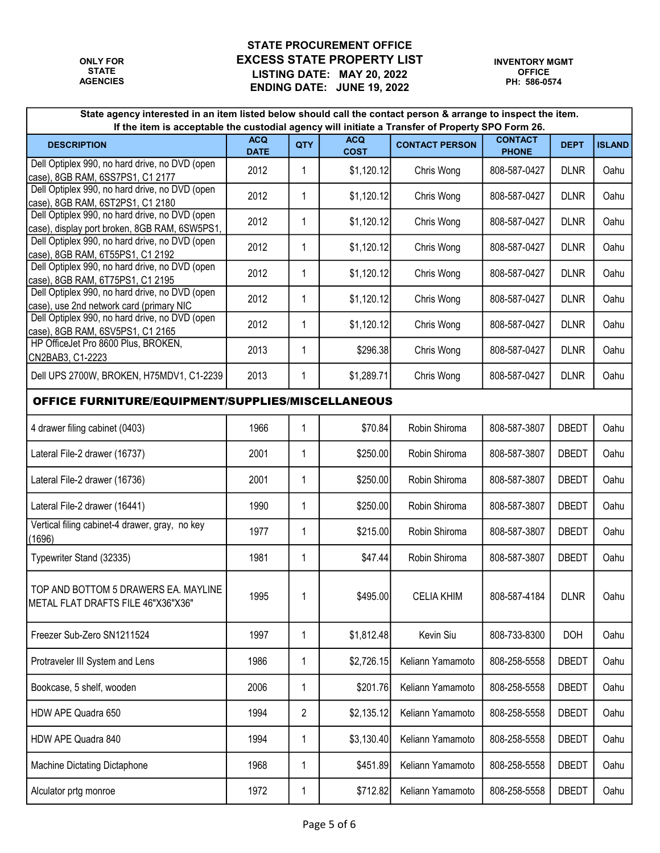| State agency interested in an item listed below should call the contact person & arrange to inspect the item.<br>If the item is acceptable the custodial agency will initiate a Transfer of Property SPO Form 26. |                     |                |             |                       |                |              |               |  |  |  |  |
|-------------------------------------------------------------------------------------------------------------------------------------------------------------------------------------------------------------------|---------------------|----------------|-------------|-----------------------|----------------|--------------|---------------|--|--|--|--|
| <b>DESCRIPTION</b>                                                                                                                                                                                                | <b>ACQ</b>          | QTY            | <b>ACQ</b>  | <b>CONTACT PERSON</b> | <b>CONTACT</b> | <b>DEPT</b>  | <b>ISLAND</b> |  |  |  |  |
| Dell Optiplex 990, no hard drive, no DVD (open                                                                                                                                                                    | <b>DATE</b><br>2012 |                | <b>COST</b> |                       | <b>PHONE</b>   |              |               |  |  |  |  |
| case), 8GB RAM, 6SS7PS1, C1 2177                                                                                                                                                                                  |                     | 1              | \$1,120.12  | Chris Wong            | 808-587-0427   | <b>DLNR</b>  | Oahu          |  |  |  |  |
| Dell Optiplex 990, no hard drive, no DVD (open<br>case), 8GB RAM, 6ST2PS1, C1 2180                                                                                                                                | 2012                | 1              | \$1,120.12  | Chris Wong            | 808-587-0427   | <b>DLNR</b>  | Oahu          |  |  |  |  |
| Dell Optiplex 990, no hard drive, no DVD (open<br>case), display port broken, 8GB RAM, 6SW5PS1.                                                                                                                   | 2012                | 1              | \$1,120.12  | Chris Wong            | 808-587-0427   | <b>DLNR</b>  | Oahu          |  |  |  |  |
| Dell Optiplex 990, no hard drive, no DVD (open<br>case), 8GB RAM, 6T55PS1, C1 2192                                                                                                                                | 2012                | 1              | \$1,120.12  | Chris Wong            | 808-587-0427   | <b>DLNR</b>  | Oahu          |  |  |  |  |
| Dell Optiplex 990, no hard drive, no DVD (open<br>case), 8GB RAM, 6T75PS1, C1 2195                                                                                                                                | 2012                | 1              | \$1,120.12  | Chris Wong            | 808-587-0427   | <b>DLNR</b>  | Oahu          |  |  |  |  |
| Dell Optiplex 990, no hard drive, no DVD (open<br>case), use 2nd network card (primary NIC                                                                                                                        | 2012                | 1              | \$1,120.12  | Chris Wong            | 808-587-0427   | <b>DLNR</b>  | Oahu          |  |  |  |  |
| Dell Optiplex 990, no hard drive, no DVD (open<br>case), 8GB RAM, 6SV5PS1, C1 2165                                                                                                                                | 2012                | 1              | \$1,120.12  | Chris Wong            | 808-587-0427   | <b>DLNR</b>  | Oahu          |  |  |  |  |
| HP OfficeJet Pro 8600 Plus, BROKEN,<br>CN2BAB3, C1-2223                                                                                                                                                           | 2013                | 1              | \$296.38    | Chris Wong            | 808-587-0427   | <b>DLNR</b>  | Oahu          |  |  |  |  |
| Dell UPS 2700W, BROKEN, H75MDV1, C1-2239                                                                                                                                                                          | 2013                | 1              | \$1,289.71  | Chris Wong            | 808-587-0427   | <b>DLNR</b>  | Oahu          |  |  |  |  |
| OFFICE FURNITURE/EQUIPMENT/SUPPLIES/MISCELLANEOUS                                                                                                                                                                 |                     |                |             |                       |                |              |               |  |  |  |  |
| 4 drawer filing cabinet (0403)                                                                                                                                                                                    | 1966                | $\mathbf{1}$   | \$70.84     | Robin Shiroma         | 808-587-3807   | <b>DBEDT</b> | Oahu          |  |  |  |  |
| Lateral File-2 drawer (16737)                                                                                                                                                                                     | 2001                | $\mathbf 1$    | \$250.00    | Robin Shiroma         | 808-587-3807   | <b>DBEDT</b> | Oahu          |  |  |  |  |
| Lateral File-2 drawer (16736)                                                                                                                                                                                     | 2001                | $\mathbf 1$    | \$250.00    | Robin Shiroma         | 808-587-3807   | <b>DBEDT</b> | Oahu          |  |  |  |  |
| Lateral File-2 drawer (16441)                                                                                                                                                                                     | 1990                | $\mathbf 1$    | \$250.00    | Robin Shiroma         | 808-587-3807   | DBEDT        | Oahu          |  |  |  |  |
| Vertical filing cabinet-4 drawer, gray, no key<br>(1696)                                                                                                                                                          | 1977                | 1              | \$215.00    | Robin Shiroma         | 808-587-3807   | <b>DBEDT</b> | Oahu          |  |  |  |  |
| Typewriter Stand (32335)                                                                                                                                                                                          | 1981                | $\mathbf 1$    | \$47.44     | Robin Shiroma         | 808-587-3807   | DBEDT        | Oahu          |  |  |  |  |
| TOP AND BOTTOM 5 DRAWERS EA. MAYLINE<br>METAL FLAT DRAFTS FILE 46"X36"X36"                                                                                                                                        | 1995                | 1              | \$495.00    | <b>CELIA KHIM</b>     | 808-587-4184   | <b>DLNR</b>  | Oahu          |  |  |  |  |
| Freezer Sub-Zero SN1211524                                                                                                                                                                                        | 1997                | $\mathbf 1$    | \$1,812.48  | Kevin Siu             | 808-733-8300   | <b>DOH</b>   | Oahu          |  |  |  |  |
| Protraveler III System and Lens                                                                                                                                                                                   | 1986                | $\mathbf 1$    | \$2,726.15  | Keliann Yamamoto      | 808-258-5558   | DBEDT        | Oahu          |  |  |  |  |
| Bookcase, 5 shelf, wooden                                                                                                                                                                                         | 2006                | $\mathbf 1$    | \$201.76    | Keliann Yamamoto      | 808-258-5558   | DBEDT        | Oahu          |  |  |  |  |
| HDW APE Quadra 650                                                                                                                                                                                                | 1994                | $\overline{2}$ | \$2,135.12  | Keliann Yamamoto      | 808-258-5558   | DBEDT        | Oahu          |  |  |  |  |
| HDW APE Quadra 840                                                                                                                                                                                                | 1994                | 1              | \$3,130.40  | Keliann Yamamoto      | 808-258-5558   | DBEDT        | Oahu          |  |  |  |  |
| Machine Dictating Dictaphone                                                                                                                                                                                      | 1968                | 1              | \$451.89    | Keliann Yamamoto      | 808-258-5558   | DBEDT        | Oahu          |  |  |  |  |
| Alculator prtg monroe                                                                                                                                                                                             | 1972                | 1              | \$712.82    | Keliann Yamamoto      | 808-258-5558   | DBEDT        | Oahu          |  |  |  |  |